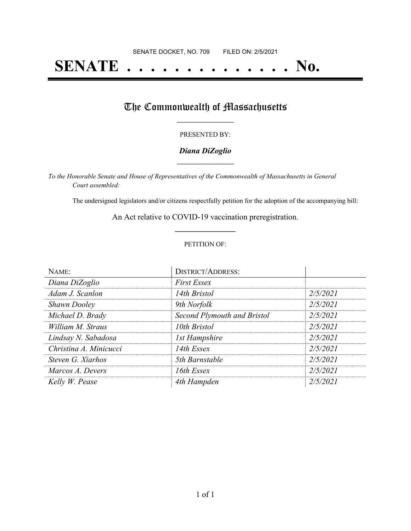# **SENATE . . . . . . . . . . . . . . No.**

## The Commonwealth of Massachusetts

#### PRESENTED BY:

#### *Diana DiZoglio* **\_\_\_\_\_\_\_\_\_\_\_\_\_\_\_\_\_**

*To the Honorable Senate and House of Representatives of the Commonwealth of Massachusetts in General Court assembled:*

The undersigned legislators and/or citizens respectfully petition for the adoption of the accompanying bill:

An Act relative to COVID-19 vaccination preregistration. **\_\_\_\_\_\_\_\_\_\_\_\_\_\_\_**

#### PETITION OF:

| NAME:                  | <b>DISTRICT/ADDRESS:</b>    |          |
|------------------------|-----------------------------|----------|
| Diana DiZoglio         | <b>First Essex</b>          |          |
| Adam J. Scanlon        | 14th Bristol                | 2/5/2021 |
| <b>Shawn Dooley</b>    | 9th Norfolk                 | 2/5/2021 |
| Michael D. Brady       | Second Plymouth and Bristol | 2/5/2021 |
| William M. Straus      | 10th Bristol                | 2/5/2021 |
| Lindsay N. Sabadosa    | <b>1st Hampshire</b>        | 2/5/2021 |
| Christina A. Minicucci | 14th Essex                  | 2/5/2021 |
| Steven G. Xiarhos      | 5th Barnstable              | 2/5/2021 |
| Marcos A. Devers       | 16th Essex                  | 2/5/2021 |
| Kelly W. Pease         | 4th Hampden                 | 2/5/2021 |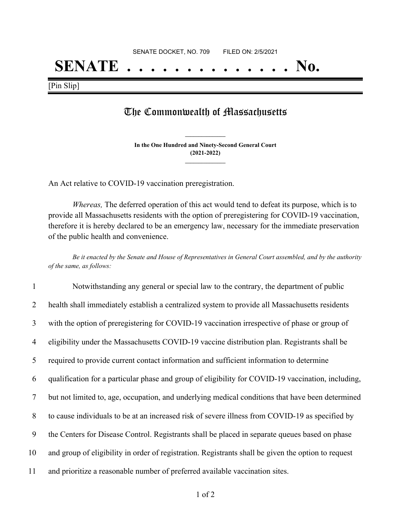## **SENATE . . . . . . . . . . . . . . No.**

[Pin Slip]

### The Commonwealth of Massachusetts

**In the One Hundred and Ninety-Second General Court (2021-2022) \_\_\_\_\_\_\_\_\_\_\_\_\_\_\_**

**\_\_\_\_\_\_\_\_\_\_\_\_\_\_\_**

An Act relative to COVID-19 vaccination preregistration.

*Whereas,* The deferred operation of this act would tend to defeat its purpose, which is to provide all Massachusetts residents with the option of preregistering for COVID-19 vaccination, therefore it is hereby declared to be an emergency law, necessary for the immediate preservation of the public health and convenience.

Be it enacted by the Senate and House of Representatives in General Court assembled, and by the authority *of the same, as follows:*

|    | Notwithstanding any general or special law to the contrary, the department of public                |
|----|-----------------------------------------------------------------------------------------------------|
| 2  | health shall immediately establish a centralized system to provide all Massachusetts residents      |
| 3  | with the option of preregistering for COVID-19 vaccination irrespective of phase or group of        |
| 4  | eligibility under the Massachusetts COVID-19 vaccine distribution plan. Registrants shall be        |
| 5  | required to provide current contact information and sufficient information to determine             |
| 6  | qualification for a particular phase and group of eligibility for COVID-19 vaccination, including,  |
| 7  | but not limited to, age, occupation, and underlying medical conditions that have been determined    |
| 8  | to cause individuals to be at an increased risk of severe illness from COVID-19 as specified by     |
| 9  | the Centers for Disease Control. Registrants shall be placed in separate queues based on phase      |
| 10 | and group of eligibility in order of registration. Registrants shall be given the option to request |
| 11 | and prioritize a reasonable number of preferred available vaccination sites.                        |